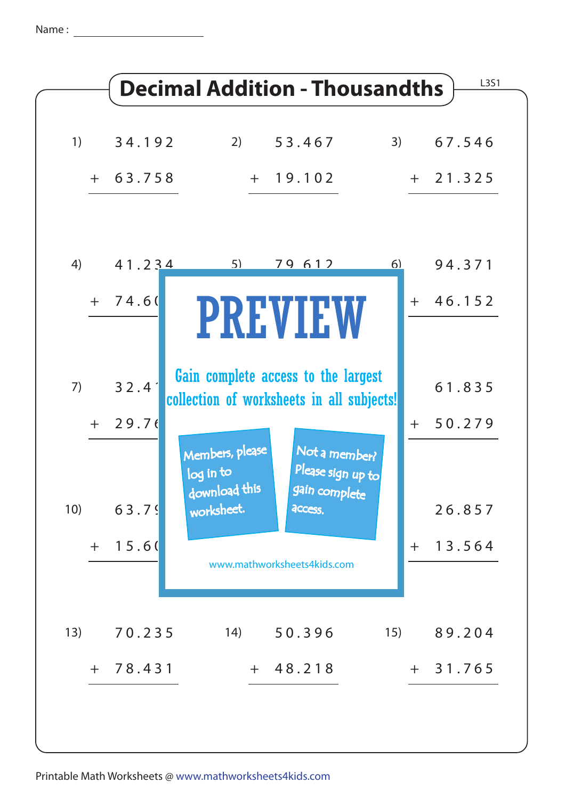Name :